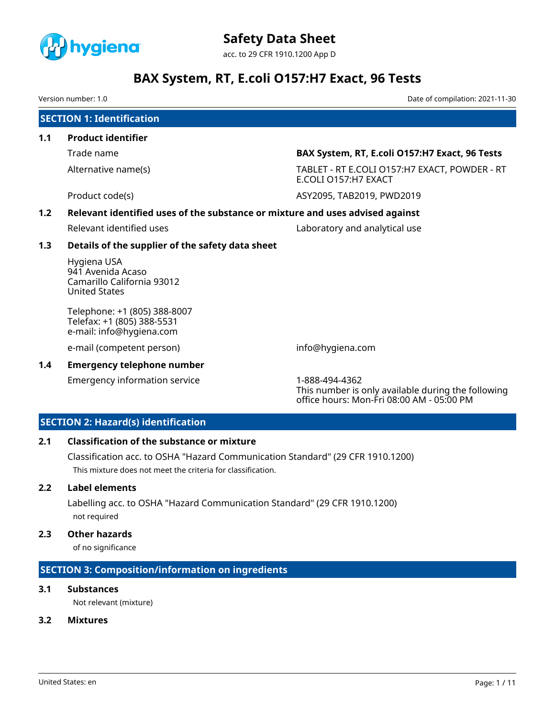

Version number: 1.0 Date of compilation: 2021-11-30

|     | <b>SECTION 1: Identification</b>                                                       |                                                                       |  |  |  |
|-----|----------------------------------------------------------------------------------------|-----------------------------------------------------------------------|--|--|--|
| 1.1 | <b>Product identifier</b>                                                              |                                                                       |  |  |  |
|     | Trade name                                                                             | BAX System, RT, E.coli O157:H7 Exact, 96 Tests                        |  |  |  |
|     | Alternative name(s)                                                                    | TABLET - RT E.COLI O157:H7 EXACT, POWDER - RT<br>E.COLI 0157:H7 EXACT |  |  |  |
|     | Product code(s)                                                                        | ASY2095, TAB2019, PWD2019                                             |  |  |  |
| 1.2 | Relevant identified uses of the substance or mixture and uses advised against          |                                                                       |  |  |  |
|     | Relevant identified uses                                                               | Laboratory and analytical use                                         |  |  |  |
| 1.3 | Details of the supplier of the safety data sheet                                       |                                                                       |  |  |  |
|     | Hygiena USA<br>941 Avenida Acaso<br>Camarillo California 93012<br><b>United States</b> |                                                                       |  |  |  |
|     | Telephone: +1 (805) 388-8007<br>Telefax: +1 (805) 388-5531<br>e-mail: info@hygiena.com |                                                                       |  |  |  |
|     | e-mail (competent person)                                                              | info@hygiena.com                                                      |  |  |  |
| 1.4 | <b>Emergency telephone number</b>                                                      |                                                                       |  |  |  |
|     | Emergency information service                                                          | 1-888-494-4362                                                        |  |  |  |

This number is only available during the following office hours: Mon-Fri 08:00 AM - 05:00 PM

# **SECTION 2: Hazard(s) identification**

#### **2.1 Classification of the substance or mixture**

Classification acc. to OSHA "Hazard Communication Standard" (29 CFR 1910.1200) This mixture does not meet the criteria for classification.

### **2.2 Label elements**

Labelling acc. to OSHA "Hazard Communication Standard" (29 CFR 1910.1200) not required

### **2.3 Other hazards**

of no significance

# **SECTION 3: Composition/information on ingredients**

# **3.1 Substances**

Not relevant (mixture)

# **3.2 Mixtures**

United States: en Page: 1 / 11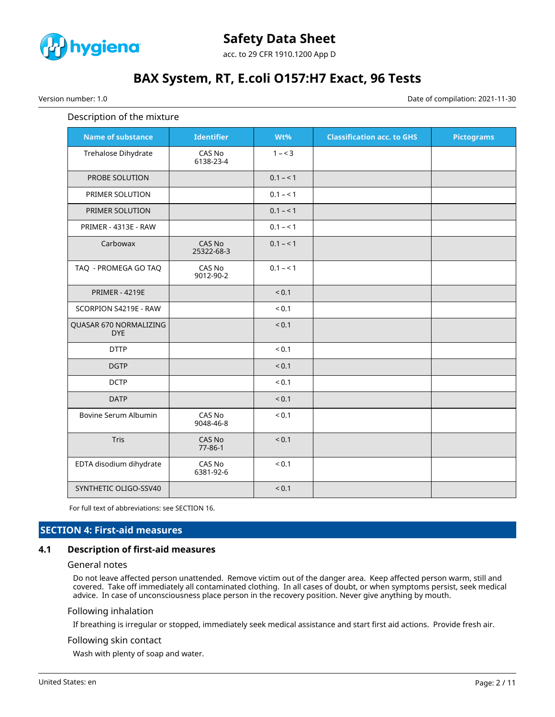

Version number: 1.0 Date of compilation: 2021-11-30

#### Description of the mixture

| <b>Name of substance</b>             | <b>Identifier</b>    | Wt%        | <b>Classification acc. to GHS</b> | <b>Pictograms</b> |
|--------------------------------------|----------------------|------------|-----------------------------------|-------------------|
| Trehalose Dihydrate                  | CAS No<br>6138-23-4  | $1 - 3$    |                                   |                   |
| PROBE SOLUTION                       |                      | $0.1 - 1$  |                                   |                   |
| PRIMER SOLUTION                      |                      | $0.1 - 1$  |                                   |                   |
| PRIMER SOLUTION                      |                      | $0.1 - 1$  |                                   |                   |
| PRIMER - 4313E - RAW                 |                      | $0.1 - 1$  |                                   |                   |
| Carbowax                             | CAS No<br>25322-68-3 | $0.1 - 1$  |                                   |                   |
| TAQ - PROMEGA GO TAQ                 | CAS No<br>9012-90-2  | $0.1 - 1$  |                                   |                   |
| <b>PRIMER - 4219E</b>                |                      | < 0.1      |                                   |                   |
| SCORPION S4219E - RAW                |                      | ${}_{0.1}$ |                                   |                   |
| QUASAR 670 NORMALIZING<br><b>DYE</b> |                      | < 0.1      |                                   |                   |
| <b>DTTP</b>                          |                      | ${}_{0.1}$ |                                   |                   |
| <b>DGTP</b>                          |                      | < 0.1      |                                   |                   |
| <b>DCTP</b>                          |                      | < 0.1      |                                   |                   |
| <b>DATP</b>                          |                      | < 0.1      |                                   |                   |
| Bovine Serum Albumin                 | CAS No<br>9048-46-8  | ${}_{0.1}$ |                                   |                   |
| Tris                                 | CAS No<br>77-86-1    | < 0.1      |                                   |                   |
| EDTA disodium dihydrate              | CAS No<br>6381-92-6  | ${}_{0.1}$ |                                   |                   |
| SYNTHETIC OLIGO-SSV40                |                      | < 0.1      |                                   |                   |

For full text of abbreviations: see SECTION 16.

#### **SECTION 4: First-aid measures**

#### **4.1 Description of first-aid measures**

#### General notes

Do not leave affected person unattended. Remove victim out of the danger area. Keep affected person warm, still and covered. Take off immediately all contaminated clothing. In all cases of doubt, or when symptoms persist, seek medical advice. In case of unconsciousness place person in the recovery position. Never give anything by mouth.

#### Following inhalation

If breathing is irregular or stopped, immediately seek medical assistance and start first aid actions. Provide fresh air.

#### Following skin contact

Wash with plenty of soap and water.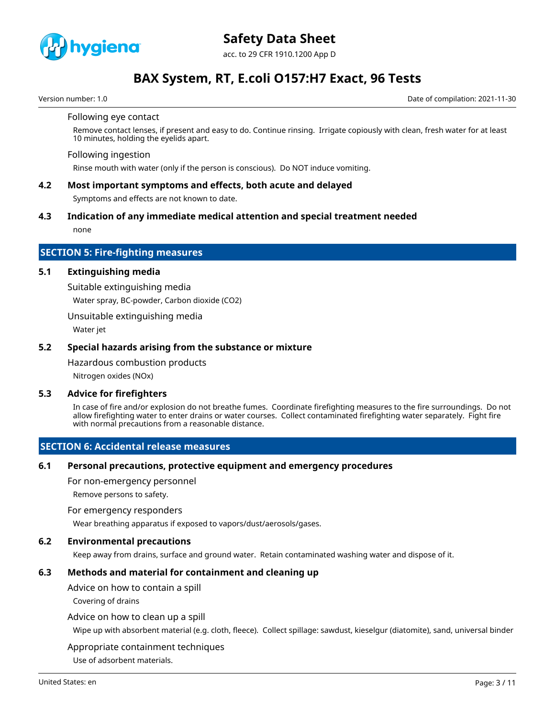

acc. to 29 CFR 1910.1200 App D

# **BAX System, RT, E.coli O157:H7 Exact, 96 Tests**

Version number: 1.0 Date of compilation: 2021-11-30

#### Following eye contact

Remove contact lenses, if present and easy to do. Continue rinsing. Irrigate copiously with clean, fresh water for at least 10 minutes, holding the eyelids apart.

#### Following ingestion

Rinse mouth with water (only if the person is conscious). Do NOT induce vomiting.

### **4.2 Most important symptoms and effects, both acute and delayed**

Symptoms and effects are not known to date.

#### **4.3 Indication of any immediate medical attention and special treatment needed**

none

#### **SECTION 5: Fire-fighting measures**

#### **5.1 Extinguishing media**

Suitable extinguishing media

Water spray, BC-powder, Carbon dioxide (CO2)

Unsuitable extinguishing media

Water jet

#### **5.2 Special hazards arising from the substance or mixture**

Hazardous combustion products

Nitrogen oxides (NOx)

#### **5.3 Advice for firefighters**

In case of fire and/or explosion do not breathe fumes. Coordinate firefighting measures to the fire surroundings. Do not allow firefighting water to enter drains or water courses. Collect contaminated firefighting water separately. Fight fire with normal precautions from a reasonable distance.

#### **SECTION 6: Accidental release measures**

#### **6.1 Personal precautions, protective equipment and emergency procedures**

For non-emergency personnel

Remove persons to safety.

#### For emergency responders

Wear breathing apparatus if exposed to vapors/dust/aerosols/gases.

#### **6.2 Environmental precautions**

Keep away from drains, surface and ground water. Retain contaminated washing water and dispose of it.

# **6.3 Methods and material for containment and cleaning up**

Advice on how to contain a spill

Covering of drains

#### Advice on how to clean up a spill

Wipe up with absorbent material (e.g. cloth, fleece). Collect spillage: sawdust, kieselgur (diatomite), sand, universal binder

#### Appropriate containment techniques

Use of adsorbent materials.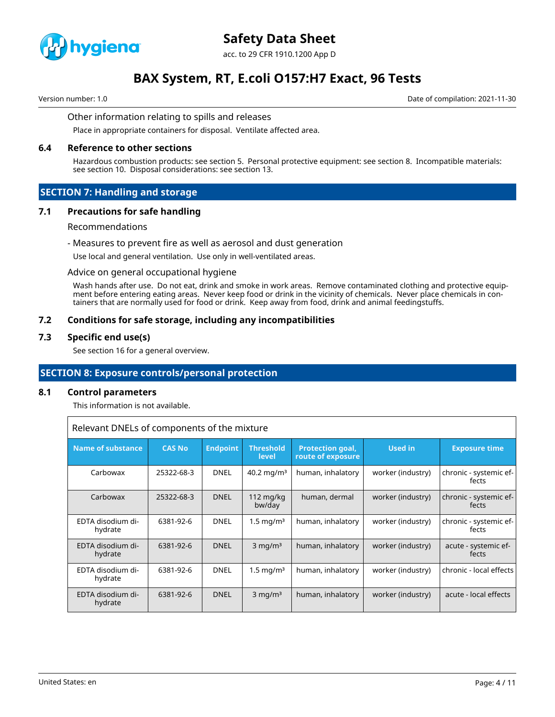

# **Safety Data Sheet**

acc. to 29 CFR 1910.1200 App D

# **BAX System, RT, E.coli O157:H7 Exact, 96 Tests**

Version number: 1.0 Date of compilation: 2021-11-30

#### Other information relating to spills and releases

Place in appropriate containers for disposal. Ventilate affected area.

#### **6.4 Reference to other sections**

Hazardous combustion products: see section 5. Personal protective equipment: see section 8. Incompatible materials: see section 10. Disposal considerations: see section 13.

#### **SECTION 7: Handling and storage**

#### **7.1 Precautions for safe handling**

#### Recommendations

#### - Measures to prevent fire as well as aerosol and dust generation

Use local and general ventilation. Use only in well-ventilated areas.

#### Advice on general occupational hygiene

Wash hands after use. Do not eat, drink and smoke in work areas. Remove contaminated clothing and protective equipment before entering eating areas. Never keep food or drink in the vicinity of chemicals. Never place chemicals in containers that are normally used for food or drink. Keep away from food, drink and animal feedingstuffs.

#### **7.2 Conditions for safe storage, including any incompatibilities**

#### **7.3 Specific end use(s)**

See section 16 for a general overview.

### **SECTION 8: Exposure controls/personal protection**

#### **8.1 Control parameters**

This information is not available.

Relevant DNELs of components of the mixture

| <b>Name of substance</b>     | <b>CAS No</b> | <b>Endpoint</b> | <b>Threshold</b><br>level | <b>Protection goal,</b><br>route of exposure | Used in           | <b>Exposure time</b>            |
|------------------------------|---------------|-----------------|---------------------------|----------------------------------------------|-------------------|---------------------------------|
| Carbowax                     | 25322-68-3    | <b>DNEL</b>     | $40.2 \,\mathrm{mag/m^3}$ | human, inhalatory                            | worker (industry) | chronic - systemic ef-<br>fects |
| Carbowax                     | 25322-68-3    | <b>DNEL</b>     | 112 $mg/kg$<br>bw/day     | human, dermal                                | worker (industry) | chronic - systemic ef-<br>fects |
| EDTA disodium di-<br>hydrate | 6381-92-6     | <b>DNEL</b>     | 1.5 mg/m <sup>3</sup>     | human, inhalatory                            | worker (industry) | chronic - systemic ef-<br>fects |
| EDTA disodium di-<br>hydrate | 6381-92-6     | <b>DNEL</b>     | $3$ mg/m <sup>3</sup>     | human, inhalatory                            | worker (industry) | acute - systemic ef-<br>fects   |
| EDTA disodium di-<br>hydrate | 6381-92-6     | <b>DNEL</b>     | $1.5 \,\mathrm{mg/m^3}$   | human, inhalatory                            | worker (industry) | chronic - local effects         |
| EDTA disodium di-<br>hydrate | 6381-92-6     | <b>DNEL</b>     | $3 \text{ mg/m}^3$        | human, inhalatory                            | worker (industry) | acute - local effects           |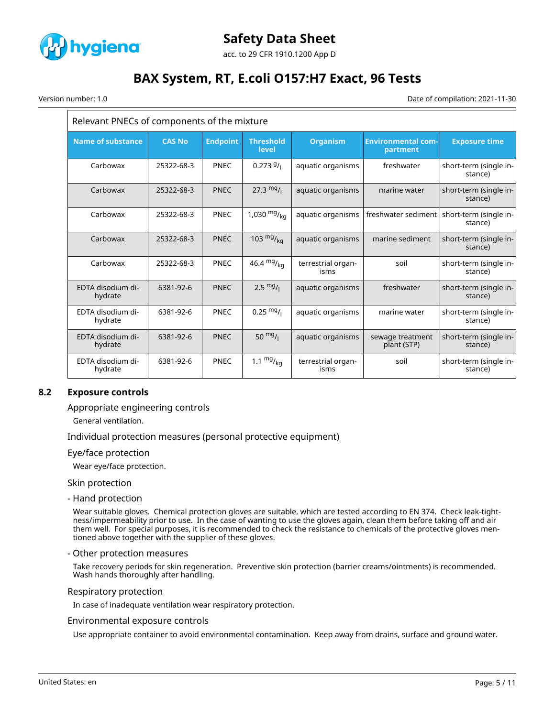

# **Safety Data Sheet**

acc. to 29 CFR 1910.1200 App D

# **BAX System, RT, E.coli O157:H7 Exact, 96 Tests**

Version number: 1.0 Date of compilation: 2021-11-30

| Relevant PNECs of components of the mixture |               |                 |                           |                            |                                       |                                   |
|---------------------------------------------|---------------|-----------------|---------------------------|----------------------------|---------------------------------------|-----------------------------------|
| <b>Name of substance</b>                    | <b>CAS No</b> | <b>Endpoint</b> | <b>Threshold</b><br>level | <b>Organism</b>            | <b>Environmental com-</b><br>partment | <b>Exposure time</b>              |
| Carbowax                                    | 25322-68-3    | PNEC            | 0.2739/                   | aquatic organisms          | freshwater                            | short-term (single in-<br>stance) |
| Carbowax                                    | 25322-68-3    | <b>PNEC</b>     | $27.3 \frac{mg}{l}$       | aquatic organisms          | marine water                          | short-term (single in-<br>stance) |
| Carbowax                                    | 25322-68-3    | <b>PNEC</b>     | 1,030 $mg/_{kq}$          | aquatic organisms          | freshwater sediment                   | short-term (single in-<br>stance) |
| Carbowax                                    | 25322-68-3    | <b>PNEC</b>     | 103 $mg/_{kq}$            | aquatic organisms          | marine sediment                       | short-term (single in-<br>stance) |
| Carbowax                                    | 25322-68-3    | <b>PNEC</b>     | 46.4 $mg/kq$              | terrestrial organ-<br>isms | soil                                  | short-term (single in-<br>stance) |
| EDTA disodium di-<br>hydrate                | 6381-92-6     | <b>PNEC</b>     | $2.5 \frac{mg}{l}$        | aquatic organisms          | freshwater                            | short-term (single in-<br>stance) |
| EDTA disodium di-<br>hydrate                | 6381-92-6     | <b>PNEC</b>     | $0.25 \frac{mg}{l}$       | aquatic organisms          | marine water                          | short-term (single in-<br>stance) |
| EDTA disodium di-<br>hydrate                | 6381-92-6     | <b>PNEC</b>     | 50 $mg/1$                 | aquatic organisms          | sewage treatment<br>plant (STP)       | short-term (single in-<br>stance) |
| EDTA disodium di-<br>hydrate                | 6381-92-6     | PNEC            | 1.1 $mg/_{kq}$            | terrestrial organ-<br>isms | soil                                  | short-term (single in-<br>stance) |

# **8.2 Exposure controls**

Appropriate engineering controls

General ventilation.

Individual protection measures (personal protective equipment)

#### Eye/face protection

Wear eye/face protection.

Skin protection

- Hand protection

Wear suitable gloves. Chemical protection gloves are suitable, which are tested according to EN 374. Check leak-tightness/impermeability prior to use. In the case of wanting to use the gloves again, clean them before taking off and air them well. For special purposes, it is recommended to check the resistance to chemicals of the protective gloves mentioned above together with the supplier of these gloves.

#### - Other protection measures

Take recovery periods for skin regeneration. Preventive skin protection (barrier creams/ointments) is recommended. Wash hands thoroughly after handling.

#### Respiratory protection

In case of inadequate ventilation wear respiratory protection.

#### Environmental exposure controls

Use appropriate container to avoid environmental contamination. Keep away from drains, surface and ground water.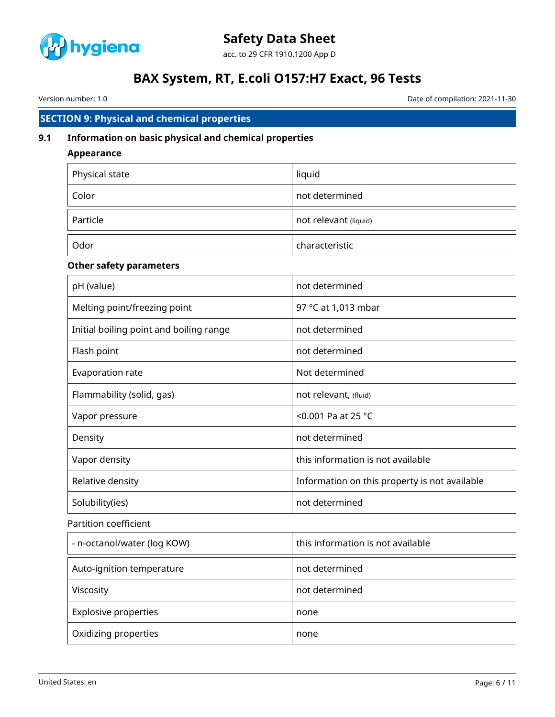

Version number: 1.0 Date of compilation: 2021-11-30

# **SECTION 9: Physical and chemical properties**

## **9.1 Information on basic physical and chemical properties**

### **Appearance**

| Physical state | liquid                |
|----------------|-----------------------|
| Color          | not determined        |
| Particle       | not relevant (liquid) |
| Odor           | characteristic        |

### **Other safety parameters**

| pH (value)                              | not determined                                |
|-----------------------------------------|-----------------------------------------------|
| Melting point/freezing point            | 97 °C at 1,013 mbar                           |
| Initial boiling point and boiling range | not determined                                |
| Flash point                             | not determined                                |
| Evaporation rate                        | Not determined                                |
| Flammability (solid, gas)               | not relevant, (fluid)                         |
| Vapor pressure                          | <0.001 Pa at 25 $^{\circ}$ C                  |
| Density                                 | not determined                                |
| Vapor density                           | this information is not available             |
| Relative density                        | Information on this property is not available |
| Solubility(ies)                         | not determined                                |

### Partition coefficient

| - n-octanol/water (log KOW) | this information is not available |
|-----------------------------|-----------------------------------|
| Auto-ignition temperature   | not determined                    |
| Viscosity                   | not determined                    |
| <b>Explosive properties</b> | none                              |
| Oxidizing properties        | none                              |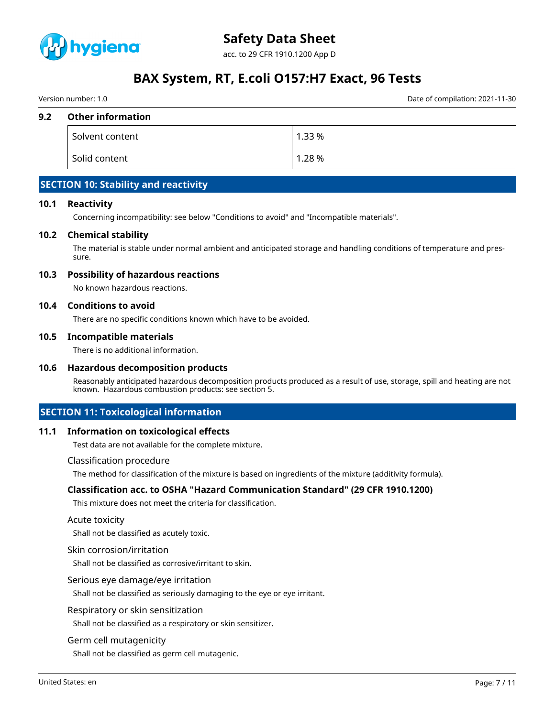

acc. to 29 CFR 1910.1200 App D

# **BAX System, RT, E.coli O157:H7 Exact, 96 Tests**

Version number: 1.0 Date of compilation: 2021-11-30

#### **9.2 Other information**

| Solvent content | 1.33 % |
|-----------------|--------|
| Solid content   | 1.28 % |

# **SECTION 10: Stability and reactivity**

#### **10.1 Reactivity**

Concerning incompatibility: see below "Conditions to avoid" and "Incompatible materials".

#### **10.2 Chemical stability**

The material is stable under normal ambient and anticipated storage and handling conditions of temperature and pressure.

#### **10.3 Possibility of hazardous reactions**

No known hazardous reactions.

#### **10.4 Conditions to avoid**

There are no specific conditions known which have to be avoided.

#### **10.5 Incompatible materials**

There is no additional information.

#### **10.6 Hazardous decomposition products**

Reasonably anticipated hazardous decomposition products produced as a result of use, storage, spill and heating are not known. Hazardous combustion products: see section 5.

# **SECTION 11: Toxicological information**

#### **11.1 Information on toxicological effects**

Test data are not available for the complete mixture.

Classification procedure

The method for classification of the mixture is based on ingredients of the mixture (additivity formula).

#### **Classification acc. to OSHA "Hazard Communication Standard" (29 CFR 1910.1200)**

This mixture does not meet the criteria for classification.

#### Acute toxicity

Shall not be classified as acutely toxic.

#### Skin corrosion/irritation

Shall not be classified as corrosive/irritant to skin.

#### Serious eye damage/eye irritation

Shall not be classified as seriously damaging to the eye or eye irritant.

#### Respiratory or skin sensitization

Shall not be classified as a respiratory or skin sensitizer.

#### Germ cell mutagenicity

Shall not be classified as germ cell mutagenic.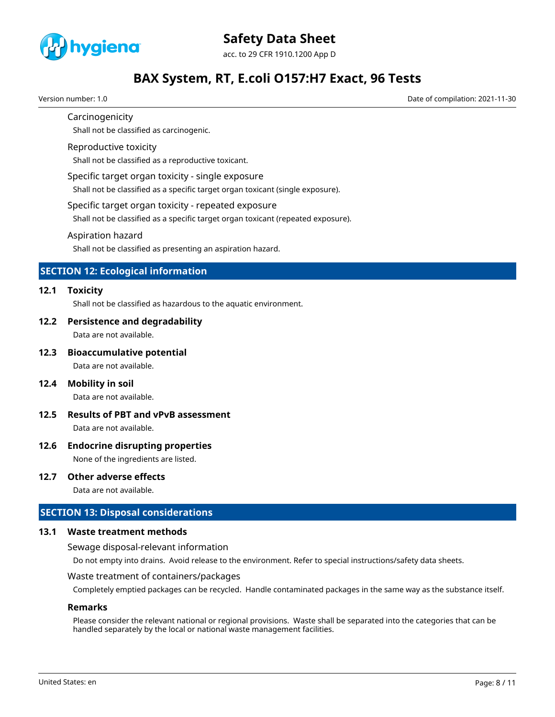

Version number: 1.0 Date of compilation: 2021-11-30

### Carcinogenicity

Shall not be classified as carcinogenic.

#### Reproductive toxicity

Shall not be classified as a reproductive toxicant.

#### Specific target organ toxicity - single exposure

Shall not be classified as a specific target organ toxicant (single exposure).

#### Specific target organ toxicity - repeated exposure

Shall not be classified as a specific target organ toxicant (repeated exposure).

#### Aspiration hazard

Shall not be classified as presenting an aspiration hazard.

# **SECTION 12: Ecological information**

#### **12.1 Toxicity**

Shall not be classified as hazardous to the aquatic environment.

#### **12.2 Persistence and degradability**

Data are not available.

#### **12.3 Bioaccumulative potential**

Data are not available.

#### **12.4 Mobility in soil**

Data are not available.

### **12.5 Results of PBT and vPvB assessment** Data are not available.

### **12.6 Endocrine disrupting properties**

None of the ingredients are listed.

#### **12.7 Other adverse effects**

Data are not available.

### **SECTION 13: Disposal considerations**

#### **13.1 Waste treatment methods**

Sewage disposal-relevant information

Do not empty into drains. Avoid release to the environment. Refer to special instructions/safety data sheets.

#### Waste treatment of containers/packages

Completely emptied packages can be recycled. Handle contaminated packages in the same way as the substance itself.

#### **Remarks**

Please consider the relevant national or regional provisions. Waste shall be separated into the categories that can be handled separately by the local or national waste management facilities.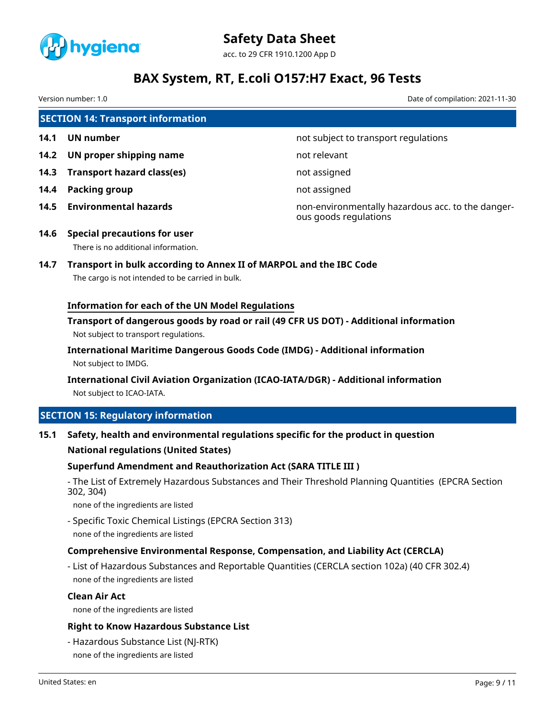

Version number: 1.0 Date of compilation: 2021-11-30

| <b>SECTION 14: Transport information</b> |                                                                            |                                                                            |  |  |
|------------------------------------------|----------------------------------------------------------------------------|----------------------------------------------------------------------------|--|--|
| 14.1                                     | UN number                                                                  | not subject to transport regulations                                       |  |  |
| 14.2                                     | UN proper shipping name                                                    | not relevant                                                               |  |  |
| 14.3                                     | <b>Transport hazard class(es)</b>                                          | not assigned                                                               |  |  |
| 14.4                                     | Packing group                                                              | not assigned                                                               |  |  |
| 14.5                                     | <b>Environmental hazards</b>                                               | non-environmentally hazardous acc. to the danger-<br>ous goods regulations |  |  |
| 14.6                                     | <b>Special precautions for user</b><br>There is no additional information. |                                                                            |  |  |

# **14.7 Transport in bulk according to Annex II of MARPOL and the IBC Code**

The cargo is not intended to be carried in bulk.

### **Information for each of the UN Model Regulations**

**Transport of dangerous goods by road or rail (49 CFR US DOT) - Additional information** Not subject to transport regulations.

**International Maritime Dangerous Goods Code (IMDG) - Additional information** Not subject to IMDG.

**International Civil Aviation Organization (ICAO-IATA/DGR) - Additional information** Not subject to ICAO-IATA.

# **SECTION 15: Regulatory information**

**15.1 Safety, health and environmental regulations specific for the product in question**

#### **National regulations (United States)**

### **Superfund Amendment and Reauthorization Act (SARA TITLE III )**

- The List of Extremely Hazardous Substances and Their Threshold Planning Quantities (EPCRA Section 302, 304)

none of the ingredients are listed

- Specific Toxic Chemical Listings (EPCRA Section 313) none of the ingredients are listed

# **Comprehensive Environmental Response, Compensation, and Liability Act (CERCLA)**

- List of Hazardous Substances and Reportable Quantities (CERCLA section 102a) (40 CFR 302.4) none of the ingredients are listed

#### **Clean Air Act**

none of the ingredients are listed

#### **Right to Know Hazardous Substance List**

- Hazardous Substance List (NJ-RTK) none of the ingredients are listed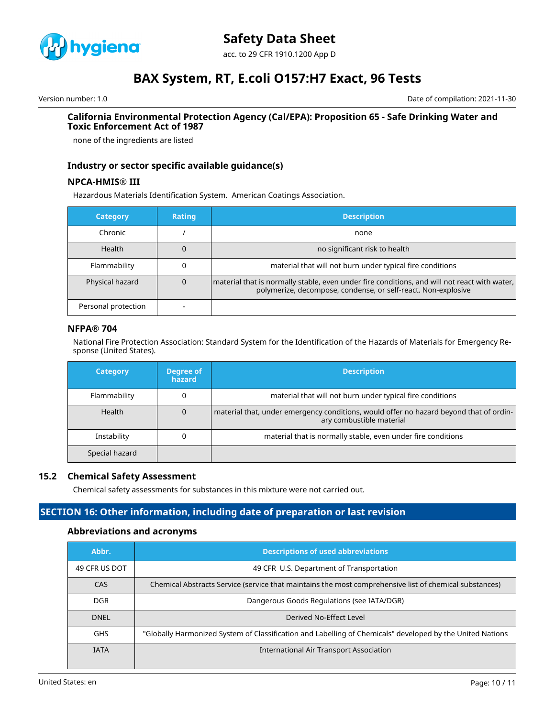

acc. to 29 CFR 1910.1200 App D

# **BAX System, RT, E.coli O157:H7 Exact, 96 Tests**

Version number: 1.0 Date of compilation: 2021-11-30

#### **California Environmental Protection Agency (Cal/EPA): Proposition 65 - Safe Drinking Water and Toxic Enforcement Act of 1987**

none of the ingredients are listed

### **Industry or sector specific available guidance(s)**

#### **NPCA-HMIS® III**

Hazardous Materials Identification System. American Coatings Association.

| <b>Category</b>     | <b>Rating</b> | <b>Description</b>                                                                                                                                            |
|---------------------|---------------|---------------------------------------------------------------------------------------------------------------------------------------------------------------|
| Chronic             |               | none                                                                                                                                                          |
| <b>Health</b>       |               | no significant risk to health                                                                                                                                 |
| Flammability        |               | material that will not burn under typical fire conditions                                                                                                     |
| Physical hazard     |               | material that is normally stable, even under fire conditions, and will not react with water,<br>polymerize, decompose, condense, or self-react. Non-explosive |
| Personal protection |               |                                                                                                                                                               |

#### **NFPA® 704**

National Fire Protection Association: Standard System for the Identification of the Hazards of Materials for Emergency Response (United States).

| <b>Category</b> | Degree of<br>hazard | <b>Description</b>                                                                                                 |
|-----------------|---------------------|--------------------------------------------------------------------------------------------------------------------|
| Flammability    |                     | material that will not burn under typical fire conditions                                                          |
| Health          | 0                   | material that, under emergency conditions, would offer no hazard beyond that of ordin-<br>ary combustible material |
| Instability     |                     | material that is normally stable, even under fire conditions                                                       |
| Special hazard  |                     |                                                                                                                    |

#### **15.2 Chemical Safety Assessment**

Chemical safety assessments for substances in this mixture were not carried out.

# **SECTION 16: Other information, including date of preparation or last revision**

#### **Abbreviations and acronyms**

| Abbr.         | <b>Descriptions of used abbreviations</b>                                                                 |  |  |
|---------------|-----------------------------------------------------------------------------------------------------------|--|--|
| 49 CFR US DOT | 49 CFR U.S. Department of Transportation                                                                  |  |  |
| <b>CAS</b>    | Chemical Abstracts Service (service that maintains the most comprehensive list of chemical substances)    |  |  |
| <b>DGR</b>    | Dangerous Goods Regulations (see IATA/DGR)                                                                |  |  |
| <b>DNFI</b>   | Derived No-Effect Level                                                                                   |  |  |
| <b>GHS</b>    | "Globally Harmonized System of Classification and Labelling of Chemicals" developed by the United Nations |  |  |
| <b>IATA</b>   | International Air Transport Association                                                                   |  |  |